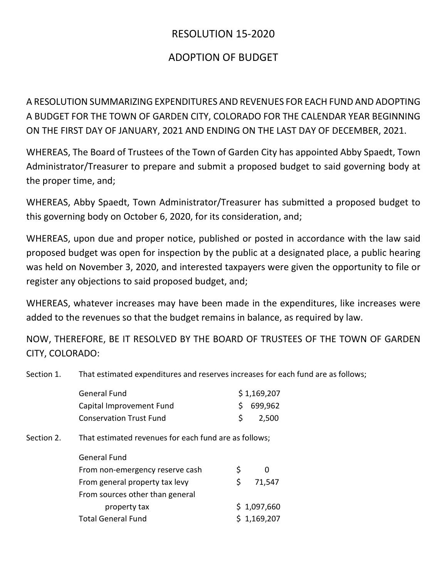## RESOLUTION 15-2020

## ADOPTION OF BUDGET

A RESOLUTION SUMMARIZING EXPENDITURES AND REVENUES FOR EACH FUND AND ADOPTING A BUDGET FOR THE TOWN OF GARDEN CITY, COLORADO FOR THE CALENDAR YEAR BEGINNING ON THE FIRST DAY OF JANUARY, 2021 AND ENDING ON THE LAST DAY OF DECEMBER, 2021.

WHEREAS, The Board of Trustees of the Town of Garden City has appointed Abby Spaedt, Town Administrator/Treasurer to prepare and submit a proposed budget to said governing body at the proper time, and;

WHEREAS, Abby Spaedt, Town Administrator/Treasurer has submitted a proposed budget to this governing body on October 6, 2020, for its consideration, and;

WHEREAS, upon due and proper notice, published or posted in accordance with the law said proposed budget was open for inspection by the public at a designated place, a public hearing was held on November 3, 2020, and interested taxpayers were given the opportunity to file or register any objections to said proposed budget, and;

WHEREAS, whatever increases may have been made in the expenditures, like increases were added to the revenues so that the budget remains in balance, as required by law.

NOW, THEREFORE, BE IT RESOLVED BY THE BOARD OF TRUSTEES OF THE TOWN OF GARDEN CITY, COLORADO:

Section 1. That estimated expenditures and reserves increases for each fund are as follows;

|            | <b>General Fund</b>                                   |    | \$1,169,207 |  |
|------------|-------------------------------------------------------|----|-------------|--|
|            | Capital Improvement Fund                              | \$ | 699,962     |  |
|            | <b>Conservation Trust Fund</b>                        | \$ | 2,500       |  |
| Section 2. | That estimated revenues for each fund are as follows; |    |             |  |
|            | <b>General Fund</b>                                   |    |             |  |
|            | From non-emergency reserve cash                       | \$ | 0           |  |
|            | From general property tax levy                        | \$ | 71,547      |  |
|            | From sources other than general                       |    |             |  |
|            | property tax                                          |    | \$1,097,660 |  |
|            | Total General Fund                                    |    | \$1,169,207 |  |
|            |                                                       |    |             |  |